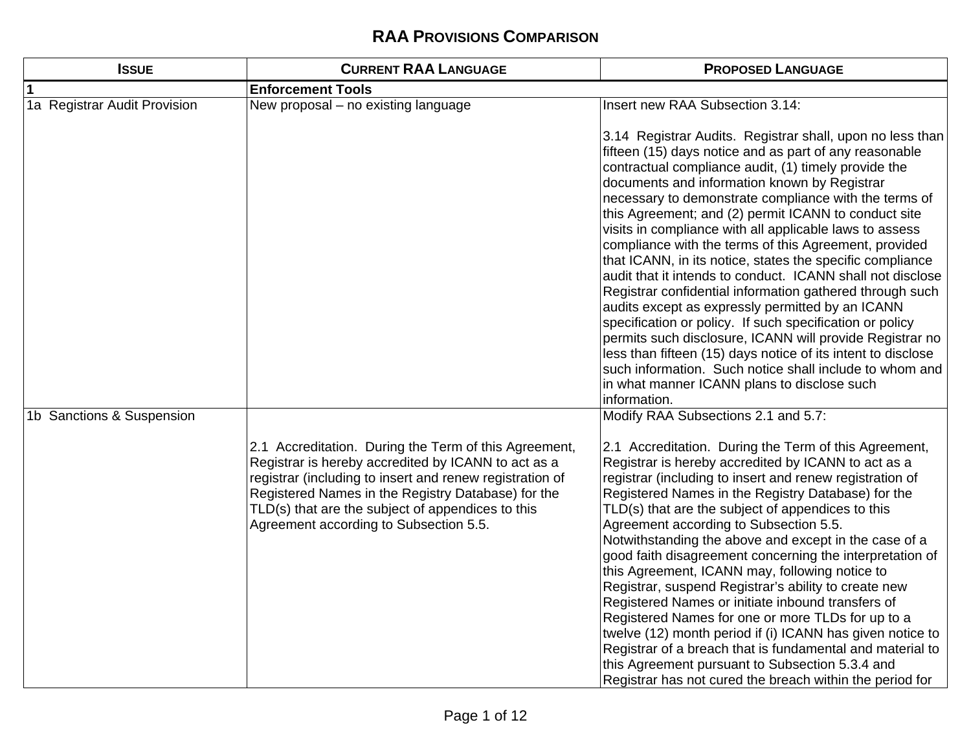| <b>ISSUE</b>                 | <b>CURRENT RAA LANGUAGE</b>                                                                                                                                                                                                                                                                                                   | <b>PROPOSED LANGUAGE</b>                                                                                                                                                                                                                                                                                                                                                                                                                                                                                                                                                                                                                                                                                                                                                                                                                                                                                                                                                                                      |
|------------------------------|-------------------------------------------------------------------------------------------------------------------------------------------------------------------------------------------------------------------------------------------------------------------------------------------------------------------------------|---------------------------------------------------------------------------------------------------------------------------------------------------------------------------------------------------------------------------------------------------------------------------------------------------------------------------------------------------------------------------------------------------------------------------------------------------------------------------------------------------------------------------------------------------------------------------------------------------------------------------------------------------------------------------------------------------------------------------------------------------------------------------------------------------------------------------------------------------------------------------------------------------------------------------------------------------------------------------------------------------------------|
|                              | <b>Enforcement Tools</b>                                                                                                                                                                                                                                                                                                      |                                                                                                                                                                                                                                                                                                                                                                                                                                                                                                                                                                                                                                                                                                                                                                                                                                                                                                                                                                                                               |
| 1a Registrar Audit Provision | New proposal - no existing language                                                                                                                                                                                                                                                                                           | Insert new RAA Subsection 3.14:                                                                                                                                                                                                                                                                                                                                                                                                                                                                                                                                                                                                                                                                                                                                                                                                                                                                                                                                                                               |
|                              |                                                                                                                                                                                                                                                                                                                               | 3.14 Registrar Audits. Registrar shall, upon no less than<br>fifteen (15) days notice and as part of any reasonable<br>contractual compliance audit, (1) timely provide the<br>documents and information known by Registrar<br>necessary to demonstrate compliance with the terms of<br>this Agreement; and (2) permit ICANN to conduct site<br>visits in compliance with all applicable laws to assess<br>compliance with the terms of this Agreement, provided<br>that ICANN, in its notice, states the specific compliance<br>audit that it intends to conduct. ICANN shall not disclose<br>Registrar confidential information gathered through such<br>audits except as expressly permitted by an ICANN<br>specification or policy. If such specification or policy<br>permits such disclosure, ICANN will provide Registrar no<br>less than fifteen (15) days notice of its intent to disclose<br>such information. Such notice shall include to whom and<br>in what manner ICANN plans to disclose such |
| 1b Sanctions & Suspension    |                                                                                                                                                                                                                                                                                                                               | information.<br>Modify RAA Subsections 2.1 and 5.7:                                                                                                                                                                                                                                                                                                                                                                                                                                                                                                                                                                                                                                                                                                                                                                                                                                                                                                                                                           |
|                              | 2.1 Accreditation. During the Term of this Agreement,<br>Registrar is hereby accredited by ICANN to act as a<br>registrar (including to insert and renew registration of<br>Registered Names in the Registry Database) for the<br>TLD(s) that are the subject of appendices to this<br>Agreement according to Subsection 5.5. | 2.1 Accreditation. During the Term of this Agreement,<br>Registrar is hereby accredited by ICANN to act as a<br>registrar (including to insert and renew registration of<br>Registered Names in the Registry Database) for the<br>TLD(s) that are the subject of appendices to this<br>Agreement according to Subsection 5.5.<br>Notwithstanding the above and except in the case of a<br>good faith disagreement concerning the interpretation of<br>this Agreement, ICANN may, following notice to<br>Registrar, suspend Registrar's ability to create new<br>Registered Names or initiate inbound transfers of<br>Registered Names for one or more TLDs for up to a<br>twelve (12) month period if (i) ICANN has given notice to<br>Registrar of a breach that is fundamental and material to<br>this Agreement pursuant to Subsection 5.3.4 and<br>Registrar has not cured the breach within the period for                                                                                               |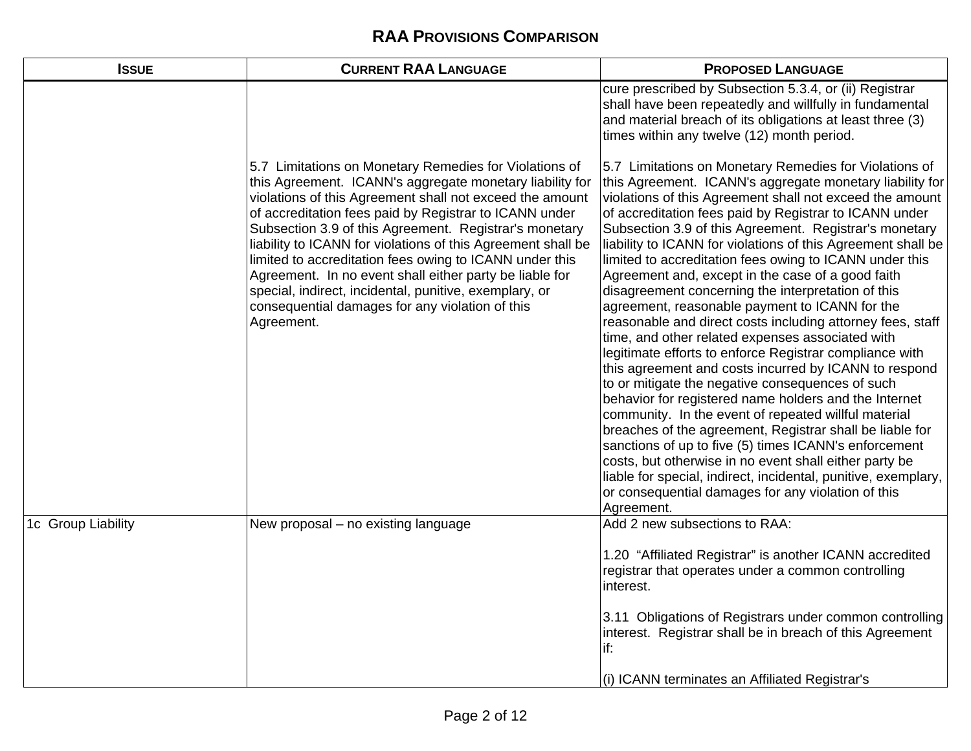| <b>ISSUE</b>       | <b>CURRENT RAA LANGUAGE</b>                                                                                                                                                                                                                                                                                                                                                                                                                                                                                                                                                                                         | <b>PROPOSED LANGUAGE</b>                                                                                                                                                                                                                                                                                                                                                                                                                                                                                                                                                                                                                                                                                                                                                                                                                                                                                                                                                                                                                                                                                                                                                                                                                                                                                                   |
|--------------------|---------------------------------------------------------------------------------------------------------------------------------------------------------------------------------------------------------------------------------------------------------------------------------------------------------------------------------------------------------------------------------------------------------------------------------------------------------------------------------------------------------------------------------------------------------------------------------------------------------------------|----------------------------------------------------------------------------------------------------------------------------------------------------------------------------------------------------------------------------------------------------------------------------------------------------------------------------------------------------------------------------------------------------------------------------------------------------------------------------------------------------------------------------------------------------------------------------------------------------------------------------------------------------------------------------------------------------------------------------------------------------------------------------------------------------------------------------------------------------------------------------------------------------------------------------------------------------------------------------------------------------------------------------------------------------------------------------------------------------------------------------------------------------------------------------------------------------------------------------------------------------------------------------------------------------------------------------|
|                    |                                                                                                                                                                                                                                                                                                                                                                                                                                                                                                                                                                                                                     | cure prescribed by Subsection 5.3.4, or (ii) Registrar<br>shall have been repeatedly and willfully in fundamental<br>and material breach of its obligations at least three (3)<br>times within any twelve (12) month period.                                                                                                                                                                                                                                                                                                                                                                                                                                                                                                                                                                                                                                                                                                                                                                                                                                                                                                                                                                                                                                                                                               |
|                    | 5.7 Limitations on Monetary Remedies for Violations of<br>this Agreement. ICANN's aggregate monetary liability for<br>violations of this Agreement shall not exceed the amount<br>of accreditation fees paid by Registrar to ICANN under<br>Subsection 3.9 of this Agreement. Registrar's monetary<br>liability to ICANN for violations of this Agreement shall be<br>limited to accreditation fees owing to ICANN under this<br>Agreement. In no event shall either party be liable for<br>special, indirect, incidental, punitive, exemplary, or<br>consequential damages for any violation of this<br>Agreement. | 5.7 Limitations on Monetary Remedies for Violations of<br>this Agreement. ICANN's aggregate monetary liability for<br>violations of this Agreement shall not exceed the amount<br>of accreditation fees paid by Registrar to ICANN under<br>Subsection 3.9 of this Agreement. Registrar's monetary<br>liability to ICANN for violations of this Agreement shall be<br>limited to accreditation fees owing to ICANN under this<br>Agreement and, except in the case of a good faith<br>disagreement concerning the interpretation of this<br>agreement, reasonable payment to ICANN for the<br>reasonable and direct costs including attorney fees, staff<br>time, and other related expenses associated with<br>legitimate efforts to enforce Registrar compliance with<br>this agreement and costs incurred by ICANN to respond<br>to or mitigate the negative consequences of such<br>behavior for registered name holders and the Internet<br>community. In the event of repeated willful material<br>breaches of the agreement, Registrar shall be liable for<br>sanctions of up to five (5) times ICANN's enforcement<br>costs, but otherwise in no event shall either party be<br>liable for special, indirect, incidental, punitive, exemplary,<br>or consequential damages for any violation of this<br>Agreement. |
| 1c Group Liability | New proposal - no existing language                                                                                                                                                                                                                                                                                                                                                                                                                                                                                                                                                                                 | Add 2 new subsections to RAA:<br>1.20 "Affiliated Registrar" is another ICANN accredited<br>registrar that operates under a common controlling<br>interest.<br>3.11 Obligations of Registrars under common controlling<br>interest. Registrar shall be in breach of this Agreement<br>if:<br>(i) ICANN terminates an Affiliated Registrar's                                                                                                                                                                                                                                                                                                                                                                                                                                                                                                                                                                                                                                                                                                                                                                                                                                                                                                                                                                                |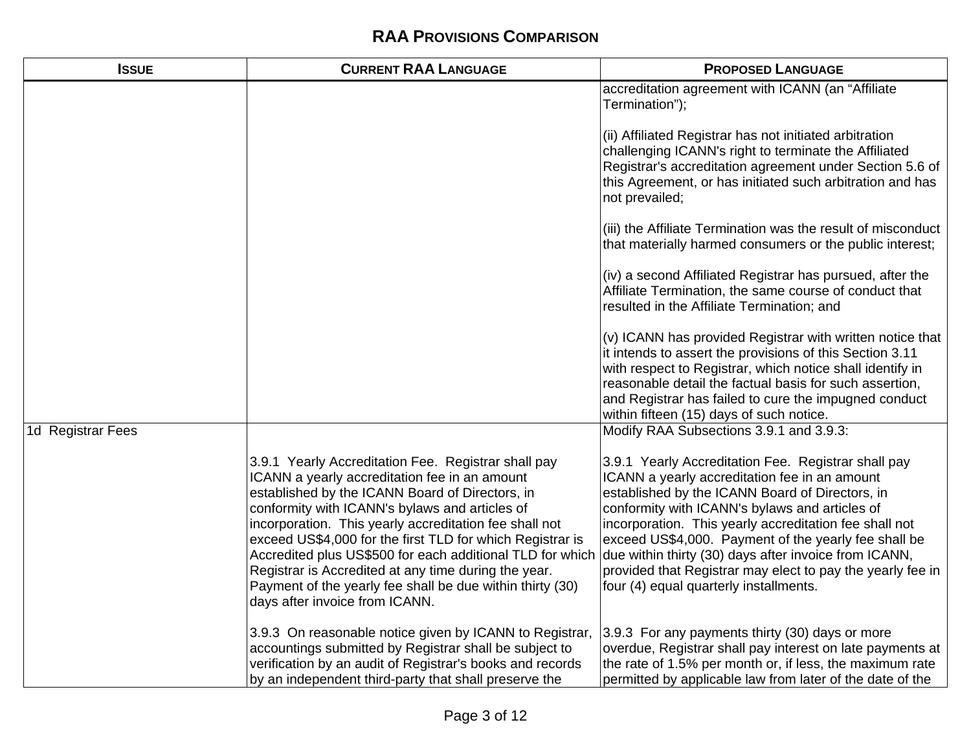| <b>ISSUE</b>      | <b>CURRENT RAA LANGUAGE</b>                                                                                                                                                                                                                                                                                                                                                                                                                                                                                                                          | <b>PROPOSED LANGUAGE</b>                                                                                                                                                                                                                                                                                                                                                                                                                                                                     |
|-------------------|------------------------------------------------------------------------------------------------------------------------------------------------------------------------------------------------------------------------------------------------------------------------------------------------------------------------------------------------------------------------------------------------------------------------------------------------------------------------------------------------------------------------------------------------------|----------------------------------------------------------------------------------------------------------------------------------------------------------------------------------------------------------------------------------------------------------------------------------------------------------------------------------------------------------------------------------------------------------------------------------------------------------------------------------------------|
|                   |                                                                                                                                                                                                                                                                                                                                                                                                                                                                                                                                                      | accreditation agreement with ICANN (an "Affiliate<br>Termination");                                                                                                                                                                                                                                                                                                                                                                                                                          |
|                   |                                                                                                                                                                                                                                                                                                                                                                                                                                                                                                                                                      | (ii) Affiliated Registrar has not initiated arbitration<br>challenging ICANN's right to terminate the Affiliated<br>Registrar's accreditation agreement under Section 5.6 of<br>this Agreement, or has initiated such arbitration and has<br>not prevailed;                                                                                                                                                                                                                                  |
|                   |                                                                                                                                                                                                                                                                                                                                                                                                                                                                                                                                                      | (iii) the Affiliate Termination was the result of misconduct<br>that materially harmed consumers or the public interest;                                                                                                                                                                                                                                                                                                                                                                     |
|                   |                                                                                                                                                                                                                                                                                                                                                                                                                                                                                                                                                      | (iv) a second Affiliated Registrar has pursued, after the<br>Affiliate Termination, the same course of conduct that<br>resulted in the Affiliate Termination; and                                                                                                                                                                                                                                                                                                                            |
|                   |                                                                                                                                                                                                                                                                                                                                                                                                                                                                                                                                                      | (v) ICANN has provided Registrar with written notice that<br>it intends to assert the provisions of this Section 3.11<br>with respect to Registrar, which notice shall identify in<br>reasonable detail the factual basis for such assertion,<br>and Registrar has failed to cure the impugned conduct<br>within fifteen (15) days of such notice.                                                                                                                                           |
| 1d Registrar Fees |                                                                                                                                                                                                                                                                                                                                                                                                                                                                                                                                                      | Modify RAA Subsections 3.9.1 and 3.9.3:                                                                                                                                                                                                                                                                                                                                                                                                                                                      |
|                   | 3.9.1 Yearly Accreditation Fee. Registrar shall pay<br>ICANN a yearly accreditation fee in an amount<br>established by the ICANN Board of Directors, in<br>conformity with ICANN's bylaws and articles of<br>incorporation. This yearly accreditation fee shall not<br>exceed US\$4,000 for the first TLD for which Registrar is<br>Accredited plus US\$500 for each additional TLD for which<br>Registrar is Accredited at any time during the year.<br>Payment of the yearly fee shall be due within thirty (30)<br>days after invoice from ICANN. | 3.9.1 Yearly Accreditation Fee. Registrar shall pay<br>ICANN a yearly accreditation fee in an amount<br>established by the ICANN Board of Directors, in<br>conformity with ICANN's bylaws and articles of<br>incorporation. This yearly accreditation fee shall not<br>exceed US\$4,000. Payment of the yearly fee shall be<br>due within thirty (30) days after invoice from ICANN,<br>provided that Registrar may elect to pay the yearly fee in<br>four (4) equal quarterly installments. |
|                   | 3.9.3 On reasonable notice given by ICANN to Registrar,<br>accountings submitted by Registrar shall be subject to<br>verification by an audit of Registrar's books and records<br>by an independent third-party that shall preserve the                                                                                                                                                                                                                                                                                                              | 3.9.3 For any payments thirty (30) days or more<br>overdue, Registrar shall pay interest on late payments at<br>the rate of 1.5% per month or, if less, the maximum rate<br>permitted by applicable law from later of the date of the                                                                                                                                                                                                                                                        |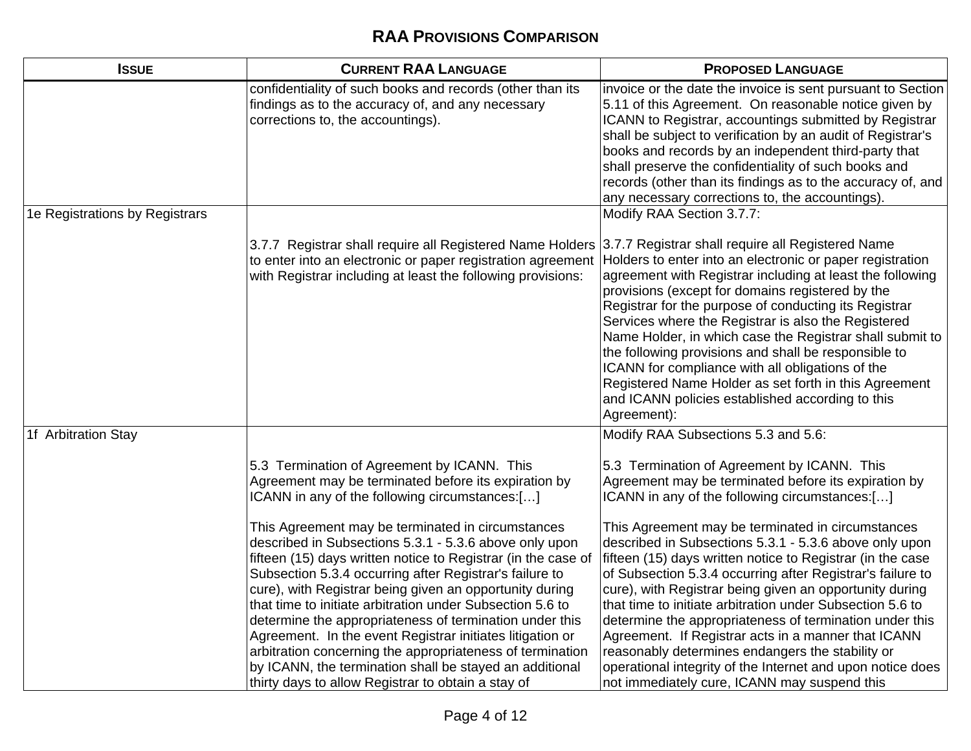| <b>ISSUE</b>                   | <b>CURRENT RAA LANGUAGE</b>                                                                                                                                                                                                                                                                                                                                                                                                                                                                                                                                                                                                                                           | <b>PROPOSED LANGUAGE</b>                                                                                                                                                                                                                                                                                                                                                                                                                                                                                                                                                                                                                            |
|--------------------------------|-----------------------------------------------------------------------------------------------------------------------------------------------------------------------------------------------------------------------------------------------------------------------------------------------------------------------------------------------------------------------------------------------------------------------------------------------------------------------------------------------------------------------------------------------------------------------------------------------------------------------------------------------------------------------|-----------------------------------------------------------------------------------------------------------------------------------------------------------------------------------------------------------------------------------------------------------------------------------------------------------------------------------------------------------------------------------------------------------------------------------------------------------------------------------------------------------------------------------------------------------------------------------------------------------------------------------------------------|
|                                | confidentiality of such books and records (other than its<br>findings as to the accuracy of, and any necessary<br>corrections to, the accountings).                                                                                                                                                                                                                                                                                                                                                                                                                                                                                                                   | invoice or the date the invoice is sent pursuant to Section<br>5.11 of this Agreement. On reasonable notice given by<br>ICANN to Registrar, accountings submitted by Registrar<br>shall be subject to verification by an audit of Registrar's<br>books and records by an independent third-party that<br>shall preserve the confidentiality of such books and<br>records (other than its findings as to the accuracy of, and<br>any necessary corrections to, the accountings).                                                                                                                                                                     |
| 1e Registrations by Registrars |                                                                                                                                                                                                                                                                                                                                                                                                                                                                                                                                                                                                                                                                       | Modify RAA Section 3.7.7:                                                                                                                                                                                                                                                                                                                                                                                                                                                                                                                                                                                                                           |
|                                | 3.7.7 Registrar shall require all Registered Name Holders<br>to enter into an electronic or paper registration agreement<br>with Registrar including at least the following provisions:                                                                                                                                                                                                                                                                                                                                                                                                                                                                               | 3.7.7 Registrar shall require all Registered Name<br>Holders to enter into an electronic or paper registration<br>agreement with Registrar including at least the following<br>provisions (except for domains registered by the<br>Registrar for the purpose of conducting its Registrar<br>Services where the Registrar is also the Registered<br>Name Holder, in which case the Registrar shall submit to<br>the following provisions and shall be responsible to<br>ICANN for compliance with all obligations of the<br>Registered Name Holder as set forth in this Agreement<br>and ICANN policies established according to this<br>Agreement): |
| 1f Arbitration Stay            |                                                                                                                                                                                                                                                                                                                                                                                                                                                                                                                                                                                                                                                                       | Modify RAA Subsections 5.3 and 5.6:                                                                                                                                                                                                                                                                                                                                                                                                                                                                                                                                                                                                                 |
|                                | 5.3 Termination of Agreement by ICANN. This<br>Agreement may be terminated before its expiration by<br>ICANN in any of the following circumstances:[]                                                                                                                                                                                                                                                                                                                                                                                                                                                                                                                 | 5.3 Termination of Agreement by ICANN. This<br>Agreement may be terminated before its expiration by<br>ICANN in any of the following circumstances:[]                                                                                                                                                                                                                                                                                                                                                                                                                                                                                               |
|                                | This Agreement may be terminated in circumstances<br>described in Subsections 5.3.1 - 5.3.6 above only upon<br>fifteen (15) days written notice to Registrar (in the case of<br>Subsection 5.3.4 occurring after Registrar's failure to<br>cure), with Registrar being given an opportunity during<br>that time to initiate arbitration under Subsection 5.6 to<br>determine the appropriateness of termination under this<br>Agreement. In the event Registrar initiates litigation or<br>arbitration concerning the appropriateness of termination<br>by ICANN, the termination shall be stayed an additional<br>thirty days to allow Registrar to obtain a stay of | This Agreement may be terminated in circumstances<br>described in Subsections 5.3.1 - 5.3.6 above only upon<br>fifteen (15) days written notice to Registrar (in the case<br>of Subsection 5.3.4 occurring after Registrar's failure to<br>cure), with Registrar being given an opportunity during<br>that time to initiate arbitration under Subsection 5.6 to<br>determine the appropriateness of termination under this<br>Agreement. If Registrar acts in a manner that ICANN<br>reasonably determines endangers the stability or<br>operational integrity of the Internet and upon notice does<br>not immediately cure, ICANN may suspend this |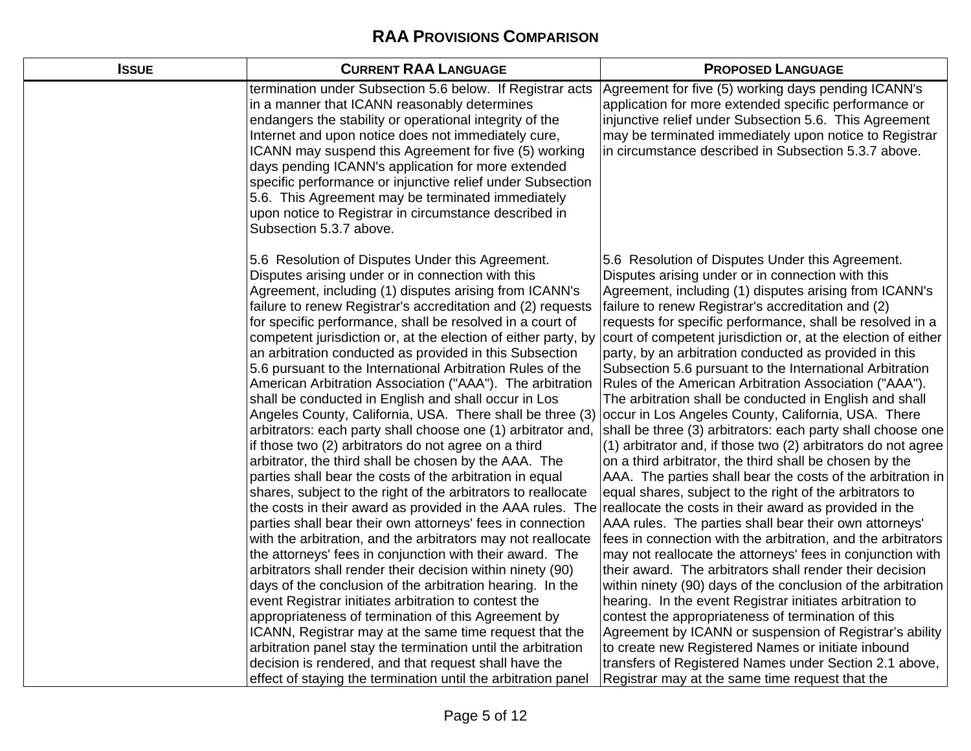| <b>ISSUE</b> | <b>CURRENT RAA LANGUAGE</b>                                                                                                                                                                                                                                                                                                                                                                                                                                                                                                                                                                                                                                                                                                                                                                                                                                                                                                                                                                                                                                                                                                                                                                                                                                                                                                                                                                                                                                                                                                                                                                                                                                                                                                        | <b>PROPOSED LANGUAGE</b>                                                                                                                                                                                                                                                                                                                                                                                                                                                                                                                                                                                                                                                                                                                                                                                                                                                                                                                                                                                                                                                                                                                                                                                                                                                                                                                                                                                                                                                                                                                                                                     |
|--------------|------------------------------------------------------------------------------------------------------------------------------------------------------------------------------------------------------------------------------------------------------------------------------------------------------------------------------------------------------------------------------------------------------------------------------------------------------------------------------------------------------------------------------------------------------------------------------------------------------------------------------------------------------------------------------------------------------------------------------------------------------------------------------------------------------------------------------------------------------------------------------------------------------------------------------------------------------------------------------------------------------------------------------------------------------------------------------------------------------------------------------------------------------------------------------------------------------------------------------------------------------------------------------------------------------------------------------------------------------------------------------------------------------------------------------------------------------------------------------------------------------------------------------------------------------------------------------------------------------------------------------------------------------------------------------------------------------------------------------------|----------------------------------------------------------------------------------------------------------------------------------------------------------------------------------------------------------------------------------------------------------------------------------------------------------------------------------------------------------------------------------------------------------------------------------------------------------------------------------------------------------------------------------------------------------------------------------------------------------------------------------------------------------------------------------------------------------------------------------------------------------------------------------------------------------------------------------------------------------------------------------------------------------------------------------------------------------------------------------------------------------------------------------------------------------------------------------------------------------------------------------------------------------------------------------------------------------------------------------------------------------------------------------------------------------------------------------------------------------------------------------------------------------------------------------------------------------------------------------------------------------------------------------------------------------------------------------------------|
|              | termination under Subsection 5.6 below. If Registrar acts<br>in a manner that ICANN reasonably determines<br>endangers the stability or operational integrity of the<br>Internet and upon notice does not immediately cure,<br>ICANN may suspend this Agreement for five (5) working<br>days pending ICANN's application for more extended<br>specific performance or injunctive relief under Subsection<br>5.6. This Agreement may be terminated immediately<br>upon notice to Registrar in circumstance described in<br>Subsection 5.3.7 above.                                                                                                                                                                                                                                                                                                                                                                                                                                                                                                                                                                                                                                                                                                                                                                                                                                                                                                                                                                                                                                                                                                                                                                                  | Agreement for five (5) working days pending ICANN's<br>application for more extended specific performance or<br>injunctive relief under Subsection 5.6. This Agreement<br>may be terminated immediately upon notice to Registrar<br>in circumstance described in Subsection 5.3.7 above.                                                                                                                                                                                                                                                                                                                                                                                                                                                                                                                                                                                                                                                                                                                                                                                                                                                                                                                                                                                                                                                                                                                                                                                                                                                                                                     |
|              | 5.6 Resolution of Disputes Under this Agreement.<br>Disputes arising under or in connection with this<br>Agreement, including (1) disputes arising from ICANN's<br>failure to renew Registrar's accreditation and (2) requests<br>for specific performance, shall be resolved in a court of<br>competent jurisdiction or, at the election of either party, by<br>an arbitration conducted as provided in this Subsection<br>5.6 pursuant to the International Arbitration Rules of the<br>American Arbitration Association ("AAA"). The arbitration<br>shall be conducted in English and shall occur in Los<br>Angeles County, California, USA. There shall be three (3)<br>arbitrators: each party shall choose one (1) arbitrator and,<br>if those two (2) arbitrators do not agree on a third<br>arbitrator, the third shall be chosen by the AAA. The<br>parties shall bear the costs of the arbitration in equal<br>shares, subject to the right of the arbitrators to reallocate<br>the costs in their award as provided in the AAA rules. The reallocate the costs in their award as provided in the<br>parties shall bear their own attorneys' fees in connection<br>with the arbitration, and the arbitrators may not reallocate<br>the attorneys' fees in conjunction with their award. The<br>arbitrators shall render their decision within ninety (90)<br>days of the conclusion of the arbitration hearing. In the<br>event Registrar initiates arbitration to contest the<br>appropriateness of termination of this Agreement by<br>ICANN, Registrar may at the same time request that the<br>arbitration panel stay the termination until the arbitration<br>decision is rendered, and that request shall have the | 5.6 Resolution of Disputes Under this Agreement.<br>Disputes arising under or in connection with this<br>Agreement, including (1) disputes arising from ICANN's<br>failure to renew Registrar's accreditation and (2)<br>requests for specific performance, shall be resolved in a<br>court of competent jurisdiction or, at the election of either<br>party, by an arbitration conducted as provided in this<br>Subsection 5.6 pursuant to the International Arbitration<br>Rules of the American Arbitration Association ("AAA").<br>The arbitration shall be conducted in English and shall<br>occur in Los Angeles County, California, USA. There<br>shall be three (3) arbitrators: each party shall choose one<br>(1) arbitrator and, if those two (2) arbitrators do not agree<br>on a third arbitrator, the third shall be chosen by the<br>AAA. The parties shall bear the costs of the arbitration in<br>equal shares, subject to the right of the arbitrators to<br>AAA rules. The parties shall bear their own attorneys'<br>fees in connection with the arbitration, and the arbitrators<br>may not reallocate the attorneys' fees in conjunction with<br>their award. The arbitrators shall render their decision<br>within ninety (90) days of the conclusion of the arbitration<br>hearing. In the event Registrar initiates arbitration to<br>contest the appropriateness of termination of this<br>Agreement by ICANN or suspension of Registrar's ability<br>to create new Registered Names or initiate inbound<br>transfers of Registered Names under Section 2.1 above, |
|              | effect of staying the termination until the arbitration panel                                                                                                                                                                                                                                                                                                                                                                                                                                                                                                                                                                                                                                                                                                                                                                                                                                                                                                                                                                                                                                                                                                                                                                                                                                                                                                                                                                                                                                                                                                                                                                                                                                                                      | Registrar may at the same time request that the                                                                                                                                                                                                                                                                                                                                                                                                                                                                                                                                                                                                                                                                                                                                                                                                                                                                                                                                                                                                                                                                                                                                                                                                                                                                                                                                                                                                                                                                                                                                              |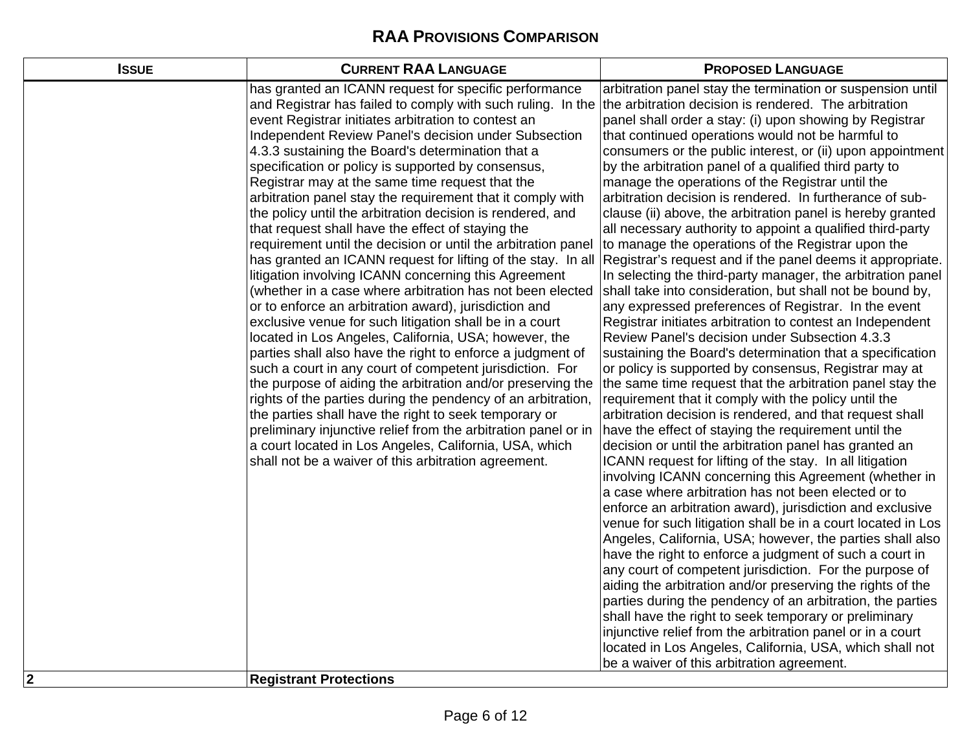| <b>ISSUE</b>            | <b>CURRENT RAA LANGUAGE</b>                                                                                                                                                                                                                                                                                                                                                                                                                                                                                                                                                                                                                                                                                                                                                                                                                                                                                                                                                                                                                                                                                                                                                                                                                                                                                                                                                                                                                                                                                                                                  | <b>PROPOSED LANGUAGE</b>                                                                                                                                                                                                                                                                                                                                                                                                                                                                                                                                                                                                                                                                                                                                                                                                                                                                                                                                                                                                                                                                                                                                                                                                                                                                                                                                                                                                                                                                                                                                                                                                                                                                                                                                                                                                                                                                                                                                                                                                                                                                                                                                                                                                                                                                                         |
|-------------------------|--------------------------------------------------------------------------------------------------------------------------------------------------------------------------------------------------------------------------------------------------------------------------------------------------------------------------------------------------------------------------------------------------------------------------------------------------------------------------------------------------------------------------------------------------------------------------------------------------------------------------------------------------------------------------------------------------------------------------------------------------------------------------------------------------------------------------------------------------------------------------------------------------------------------------------------------------------------------------------------------------------------------------------------------------------------------------------------------------------------------------------------------------------------------------------------------------------------------------------------------------------------------------------------------------------------------------------------------------------------------------------------------------------------------------------------------------------------------------------------------------------------------------------------------------------------|------------------------------------------------------------------------------------------------------------------------------------------------------------------------------------------------------------------------------------------------------------------------------------------------------------------------------------------------------------------------------------------------------------------------------------------------------------------------------------------------------------------------------------------------------------------------------------------------------------------------------------------------------------------------------------------------------------------------------------------------------------------------------------------------------------------------------------------------------------------------------------------------------------------------------------------------------------------------------------------------------------------------------------------------------------------------------------------------------------------------------------------------------------------------------------------------------------------------------------------------------------------------------------------------------------------------------------------------------------------------------------------------------------------------------------------------------------------------------------------------------------------------------------------------------------------------------------------------------------------------------------------------------------------------------------------------------------------------------------------------------------------------------------------------------------------------------------------------------------------------------------------------------------------------------------------------------------------------------------------------------------------------------------------------------------------------------------------------------------------------------------------------------------------------------------------------------------------------------------------------------------------------------------------------------------------|
| $\overline{\mathbf{2}}$ | has granted an ICANN request for specific performance<br>and Registrar has failed to comply with such ruling. In the<br>event Registrar initiates arbitration to contest an<br>Independent Review Panel's decision under Subsection<br>4.3.3 sustaining the Board's determination that a<br>specification or policy is supported by consensus,<br>Registrar may at the same time request that the<br>arbitration panel stay the requirement that it comply with<br>the policy until the arbitration decision is rendered, and<br>that request shall have the effect of staying the<br>requirement until the decision or until the arbitration panel<br>has granted an ICANN request for lifting of the stay. In all<br>litigation involving ICANN concerning this Agreement<br>(whether in a case where arbitration has not been elected<br>or to enforce an arbitration award), jurisdiction and<br>exclusive venue for such litigation shall be in a court<br>located in Los Angeles, California, USA; however, the<br>parties shall also have the right to enforce a judgment of<br>such a court in any court of competent jurisdiction. For<br>the purpose of aiding the arbitration and/or preserving the<br>rights of the parties during the pendency of an arbitration,<br>the parties shall have the right to seek temporary or<br>preliminary injunctive relief from the arbitration panel or in<br>a court located in Los Angeles, California, USA, which<br>shall not be a waiver of this arbitration agreement.<br><b>Registrant Protections</b> | arbitration panel stay the termination or suspension until<br>the arbitration decision is rendered. The arbitration<br>panel shall order a stay: (i) upon showing by Registrar<br>that continued operations would not be harmful to<br>consumers or the public interest, or (ii) upon appointment<br>by the arbitration panel of a qualified third party to<br>manage the operations of the Registrar until the<br>arbitration decision is rendered. In furtherance of sub-<br>clause (ii) above, the arbitration panel is hereby granted<br>all necessary authority to appoint a qualified third-party<br>to manage the operations of the Registrar upon the<br>Registrar's request and if the panel deems it appropriate.<br>In selecting the third-party manager, the arbitration panel<br>shall take into consideration, but shall not be bound by,<br>any expressed preferences of Registrar. In the event<br>Registrar initiates arbitration to contest an Independent<br>Review Panel's decision under Subsection 4.3.3<br>sustaining the Board's determination that a specification<br>or policy is supported by consensus, Registrar may at<br>the same time request that the arbitration panel stay the<br>requirement that it comply with the policy until the<br>arbitration decision is rendered, and that request shall<br>have the effect of staying the requirement until the<br>decision or until the arbitration panel has granted an<br>ICANN request for lifting of the stay. In all litigation<br>involving ICANN concerning this Agreement (whether in<br>a case where arbitration has not been elected or to<br>enforce an arbitration award), jurisdiction and exclusive<br>venue for such litigation shall be in a court located in Los<br>Angeles, California, USA; however, the parties shall also<br>have the right to enforce a judgment of such a court in<br>any court of competent jurisdiction. For the purpose of<br>aiding the arbitration and/or preserving the rights of the<br>parties during the pendency of an arbitration, the parties<br>shall have the right to seek temporary or preliminary<br>injunctive relief from the arbitration panel or in a court<br>located in Los Angeles, California, USA, which shall not<br>be a waiver of this arbitration agreement. |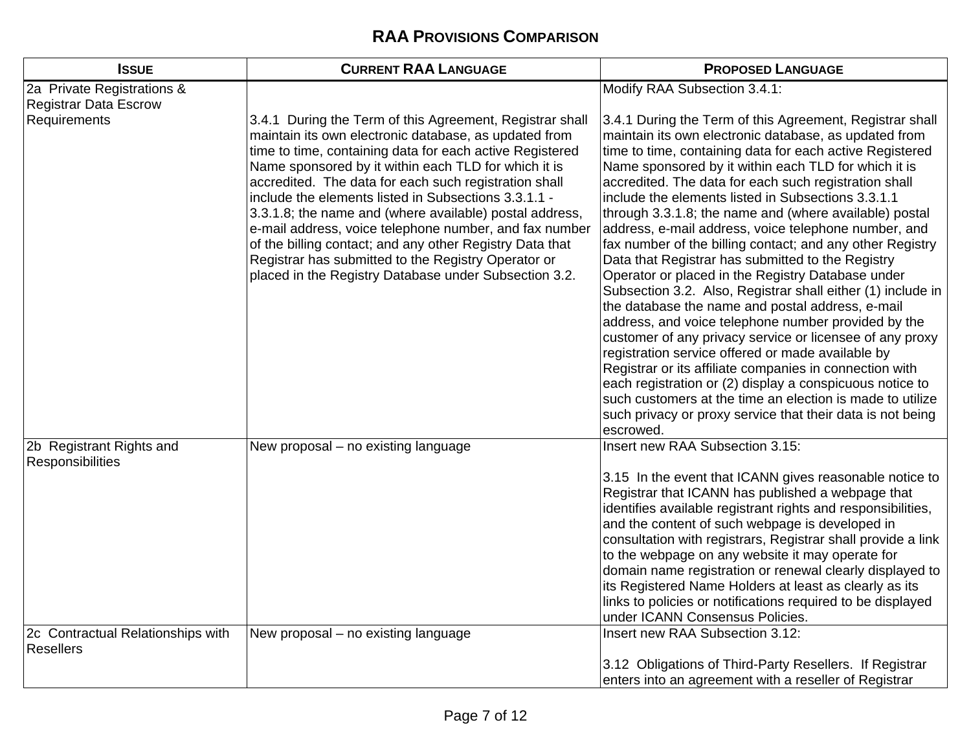| <b>ISSUE</b>                                               | <b>CURRENT RAA LANGUAGE</b>                                                                                                                                                                                                                                                                                                                                                                                                                                                                                                                                                                                                                             | <b>PROPOSED LANGUAGE</b>                                                                                                                                                                                                                                                                                                                                                                                                                                                                                                                                                                                                                                                                                                                                                                                                                                                                                                                                                                                                                                                                                                                                                                                |
|------------------------------------------------------------|---------------------------------------------------------------------------------------------------------------------------------------------------------------------------------------------------------------------------------------------------------------------------------------------------------------------------------------------------------------------------------------------------------------------------------------------------------------------------------------------------------------------------------------------------------------------------------------------------------------------------------------------------------|---------------------------------------------------------------------------------------------------------------------------------------------------------------------------------------------------------------------------------------------------------------------------------------------------------------------------------------------------------------------------------------------------------------------------------------------------------------------------------------------------------------------------------------------------------------------------------------------------------------------------------------------------------------------------------------------------------------------------------------------------------------------------------------------------------------------------------------------------------------------------------------------------------------------------------------------------------------------------------------------------------------------------------------------------------------------------------------------------------------------------------------------------------------------------------------------------------|
| 2a Private Registrations &<br><b>Registrar Data Escrow</b> |                                                                                                                                                                                                                                                                                                                                                                                                                                                                                                                                                                                                                                                         | Modify RAA Subsection 3.4.1:                                                                                                                                                                                                                                                                                                                                                                                                                                                                                                                                                                                                                                                                                                                                                                                                                                                                                                                                                                                                                                                                                                                                                                            |
| Requirements                                               | 3.4.1 During the Term of this Agreement, Registrar shall<br>maintain its own electronic database, as updated from<br>time to time, containing data for each active Registered<br>Name sponsored by it within each TLD for which it is<br>accredited. The data for each such registration shall<br>include the elements listed in Subsections 3.3.1.1 -<br>3.3.1.8; the name and (where available) postal address,<br>e-mail address, voice telephone number, and fax number<br>of the billing contact; and any other Registry Data that<br>Registrar has submitted to the Registry Operator or<br>placed in the Registry Database under Subsection 3.2. | 3.4.1 During the Term of this Agreement, Registrar shall<br>maintain its own electronic database, as updated from<br>time to time, containing data for each active Registered<br>Name sponsored by it within each TLD for which it is<br>accredited. The data for each such registration shall<br>include the elements listed in Subsections 3.3.1.1<br>through 3.3.1.8; the name and (where available) postal<br>address, e-mail address, voice telephone number, and<br>fax number of the billing contact; and any other Registry<br>Data that Registrar has submitted to the Registry<br>Operator or placed in the Registry Database under<br>Subsection 3.2. Also, Registrar shall either (1) include in<br>the database the name and postal address, e-mail<br>address, and voice telephone number provided by the<br>customer of any privacy service or licensee of any proxy<br>registration service offered or made available by<br>Registrar or its affiliate companies in connection with<br>each registration or (2) display a conspicuous notice to<br>such customers at the time an election is made to utilize<br>such privacy or proxy service that their data is not being<br>escrowed. |
| 2b Registrant Rights and<br>Responsibilities               | New proposal - no existing language                                                                                                                                                                                                                                                                                                                                                                                                                                                                                                                                                                                                                     | Insert new RAA Subsection 3.15:                                                                                                                                                                                                                                                                                                                                                                                                                                                                                                                                                                                                                                                                                                                                                                                                                                                                                                                                                                                                                                                                                                                                                                         |
|                                                            |                                                                                                                                                                                                                                                                                                                                                                                                                                                                                                                                                                                                                                                         | 3.15 In the event that ICANN gives reasonable notice to<br>Registrar that ICANN has published a webpage that<br>identifies available registrant rights and responsibilities,<br>and the content of such webpage is developed in<br>consultation with registrars, Registrar shall provide a link<br>to the webpage on any website it may operate for<br>domain name registration or renewal clearly displayed to<br>its Registered Name Holders at least as clearly as its<br>links to policies or notifications required to be displayed<br>under ICANN Consensus Policies.                                                                                                                                                                                                                                                                                                                                                                                                                                                                                                                                                                                                                             |
| 2c Contractual Relationships with<br><b>Resellers</b>      | New proposal - no existing language                                                                                                                                                                                                                                                                                                                                                                                                                                                                                                                                                                                                                     | Insert new RAA Subsection 3.12:                                                                                                                                                                                                                                                                                                                                                                                                                                                                                                                                                                                                                                                                                                                                                                                                                                                                                                                                                                                                                                                                                                                                                                         |
|                                                            |                                                                                                                                                                                                                                                                                                                                                                                                                                                                                                                                                                                                                                                         | 3.12 Obligations of Third-Party Resellers. If Registrar<br>enters into an agreement with a reseller of Registrar                                                                                                                                                                                                                                                                                                                                                                                                                                                                                                                                                                                                                                                                                                                                                                                                                                                                                                                                                                                                                                                                                        |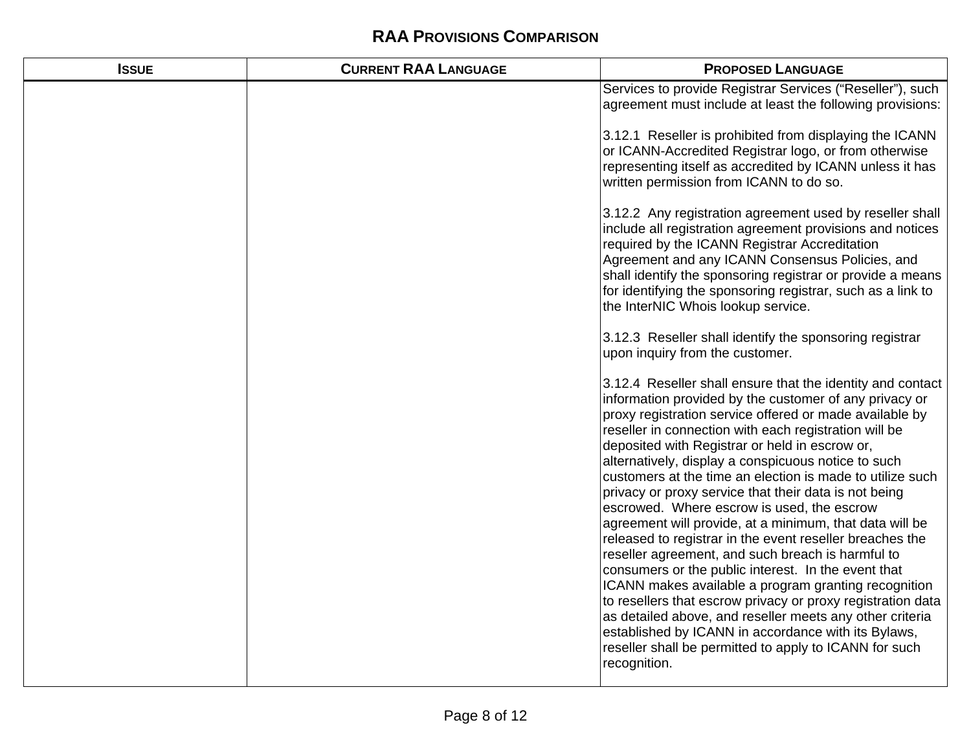| <b>ISSUE</b> | <b>CURRENT RAA LANGUAGE</b> | <b>PROPOSED LANGUAGE</b>                                                                                                                                                                                                                                                                                                                                                                                                                                                                                                                                                                                                                                                                                                                                                                                                                                                                                                                                                                                                                                                     |
|--------------|-----------------------------|------------------------------------------------------------------------------------------------------------------------------------------------------------------------------------------------------------------------------------------------------------------------------------------------------------------------------------------------------------------------------------------------------------------------------------------------------------------------------------------------------------------------------------------------------------------------------------------------------------------------------------------------------------------------------------------------------------------------------------------------------------------------------------------------------------------------------------------------------------------------------------------------------------------------------------------------------------------------------------------------------------------------------------------------------------------------------|
|              |                             | Services to provide Registrar Services ("Reseller"), such<br>agreement must include at least the following provisions:                                                                                                                                                                                                                                                                                                                                                                                                                                                                                                                                                                                                                                                                                                                                                                                                                                                                                                                                                       |
|              |                             | 3.12.1 Reseller is prohibited from displaying the ICANN<br>or ICANN-Accredited Registrar logo, or from otherwise<br>representing itself as accredited by ICANN unless it has<br>written permission from ICANN to do so.                                                                                                                                                                                                                                                                                                                                                                                                                                                                                                                                                                                                                                                                                                                                                                                                                                                      |
|              |                             | 3.12.2 Any registration agreement used by reseller shall<br>include all registration agreement provisions and notices<br>required by the ICANN Registrar Accreditation<br>Agreement and any ICANN Consensus Policies, and<br>shall identify the sponsoring registrar or provide a means<br>for identifying the sponsoring registrar, such as a link to<br>the InterNIC Whois lookup service.                                                                                                                                                                                                                                                                                                                                                                                                                                                                                                                                                                                                                                                                                 |
|              |                             | 3.12.3 Reseller shall identify the sponsoring registrar<br>upon inquiry from the customer.                                                                                                                                                                                                                                                                                                                                                                                                                                                                                                                                                                                                                                                                                                                                                                                                                                                                                                                                                                                   |
|              |                             | 3.12.4 Reseller shall ensure that the identity and contact<br>information provided by the customer of any privacy or<br>proxy registration service offered or made available by<br>reseller in connection with each registration will be<br>deposited with Registrar or held in escrow or,<br>alternatively, display a conspicuous notice to such<br>customers at the time an election is made to utilize such<br>privacy or proxy service that their data is not being<br>escrowed. Where escrow is used, the escrow<br>agreement will provide, at a minimum, that data will be<br>released to registrar in the event reseller breaches the<br>reseller agreement, and such breach is harmful to<br>consumers or the public interest. In the event that<br>ICANN makes available a program granting recognition<br>to resellers that escrow privacy or proxy registration data<br>as detailed above, and reseller meets any other criteria<br>established by ICANN in accordance with its Bylaws,<br>reseller shall be permitted to apply to ICANN for such<br>recognition. |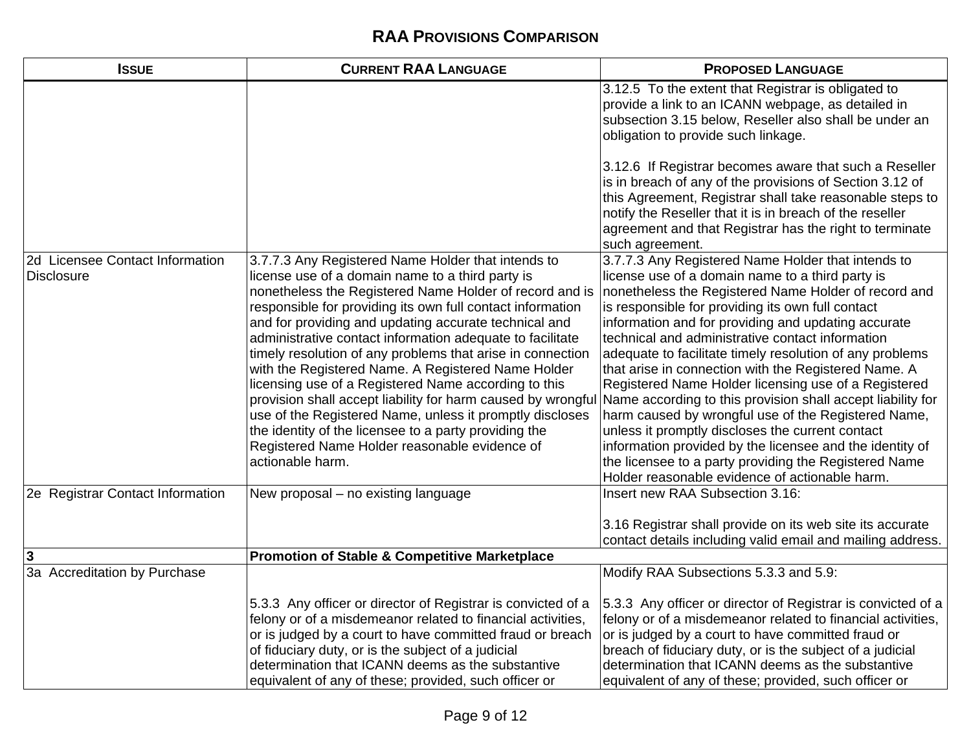| <b>ISSUE</b>                                         | <b>CURRENT RAA LANGUAGE</b>                                                                                                                                                                                                                                                                                                                                                                                                                                                                                                                                                                                                                                                                                                                                                                 | <b>PROPOSED LANGUAGE</b>                                                                                                                                                                                                                                                                                                                                                                                                                                                                                                                                                                                                                                                                                                                                                                                                                                    |
|------------------------------------------------------|---------------------------------------------------------------------------------------------------------------------------------------------------------------------------------------------------------------------------------------------------------------------------------------------------------------------------------------------------------------------------------------------------------------------------------------------------------------------------------------------------------------------------------------------------------------------------------------------------------------------------------------------------------------------------------------------------------------------------------------------------------------------------------------------|-------------------------------------------------------------------------------------------------------------------------------------------------------------------------------------------------------------------------------------------------------------------------------------------------------------------------------------------------------------------------------------------------------------------------------------------------------------------------------------------------------------------------------------------------------------------------------------------------------------------------------------------------------------------------------------------------------------------------------------------------------------------------------------------------------------------------------------------------------------|
|                                                      |                                                                                                                                                                                                                                                                                                                                                                                                                                                                                                                                                                                                                                                                                                                                                                                             | 3.12.5 To the extent that Registrar is obligated to<br>provide a link to an ICANN webpage, as detailed in<br>subsection 3.15 below, Reseller also shall be under an<br>obligation to provide such linkage.                                                                                                                                                                                                                                                                                                                                                                                                                                                                                                                                                                                                                                                  |
|                                                      |                                                                                                                                                                                                                                                                                                                                                                                                                                                                                                                                                                                                                                                                                                                                                                                             | 3.12.6 If Registrar becomes aware that such a Reseller<br>is in breach of any of the provisions of Section 3.12 of<br>this Agreement, Registrar shall take reasonable steps to<br>notify the Reseller that it is in breach of the reseller<br>agreement and that Registrar has the right to terminate<br>such agreement.                                                                                                                                                                                                                                                                                                                                                                                                                                                                                                                                    |
| 2d Licensee Contact Information<br><b>Disclosure</b> | 3.7.7.3 Any Registered Name Holder that intends to<br>license use of a domain name to a third party is<br>nonetheless the Registered Name Holder of record and is<br>responsible for providing its own full contact information<br>and for providing and updating accurate technical and<br>administrative contact information adequate to facilitate<br>timely resolution of any problems that arise in connection<br>with the Registered Name. A Registered Name Holder<br>licensing use of a Registered Name according to this<br>provision shall accept liability for harm caused by wrongful<br>use of the Registered Name, unless it promptly discloses<br>the identity of the licensee to a party providing the<br>Registered Name Holder reasonable evidence of<br>actionable harm. | 3.7.7.3 Any Registered Name Holder that intends to<br>license use of a domain name to a third party is<br>nonetheless the Registered Name Holder of record and<br>is responsible for providing its own full contact<br>information and for providing and updating accurate<br>technical and administrative contact information<br>adequate to facilitate timely resolution of any problems<br>that arise in connection with the Registered Name. A<br>Registered Name Holder licensing use of a Registered<br>Name according to this provision shall accept liability for<br>harm caused by wrongful use of the Registered Name,<br>unless it promptly discloses the current contact<br>information provided by the licensee and the identity of<br>the licensee to a party providing the Registered Name<br>Holder reasonable evidence of actionable harm. |
| 2e Registrar Contact Information                     | New proposal – no existing language                                                                                                                                                                                                                                                                                                                                                                                                                                                                                                                                                                                                                                                                                                                                                         | Insert new RAA Subsection 3.16:<br>3.16 Registrar shall provide on its web site its accurate<br>contact details including valid email and mailing address.                                                                                                                                                                                                                                                                                                                                                                                                                                                                                                                                                                                                                                                                                                  |
| $\mathbf{3}$                                         | <b>Promotion of Stable &amp; Competitive Marketplace</b>                                                                                                                                                                                                                                                                                                                                                                                                                                                                                                                                                                                                                                                                                                                                    |                                                                                                                                                                                                                                                                                                                                                                                                                                                                                                                                                                                                                                                                                                                                                                                                                                                             |
| 3a Accreditation by Purchase                         | 5.3.3 Any officer or director of Registrar is convicted of a                                                                                                                                                                                                                                                                                                                                                                                                                                                                                                                                                                                                                                                                                                                                | Modify RAA Subsections 5.3.3 and 5.9:<br>5.3.3 Any officer or director of Registrar is convicted of a                                                                                                                                                                                                                                                                                                                                                                                                                                                                                                                                                                                                                                                                                                                                                       |
|                                                      | felony or of a misdemeanor related to financial activities,<br>or is judged by a court to have committed fraud or breach<br>of fiduciary duty, or is the subject of a judicial<br>determination that ICANN deems as the substantive<br>equivalent of any of these; provided, such officer or                                                                                                                                                                                                                                                                                                                                                                                                                                                                                                | felony or of a misdemeanor related to financial activities,<br>or is judged by a court to have committed fraud or<br>breach of fiduciary duty, or is the subject of a judicial<br>determination that ICANN deems as the substantive<br>equivalent of any of these; provided, such officer or                                                                                                                                                                                                                                                                                                                                                                                                                                                                                                                                                                |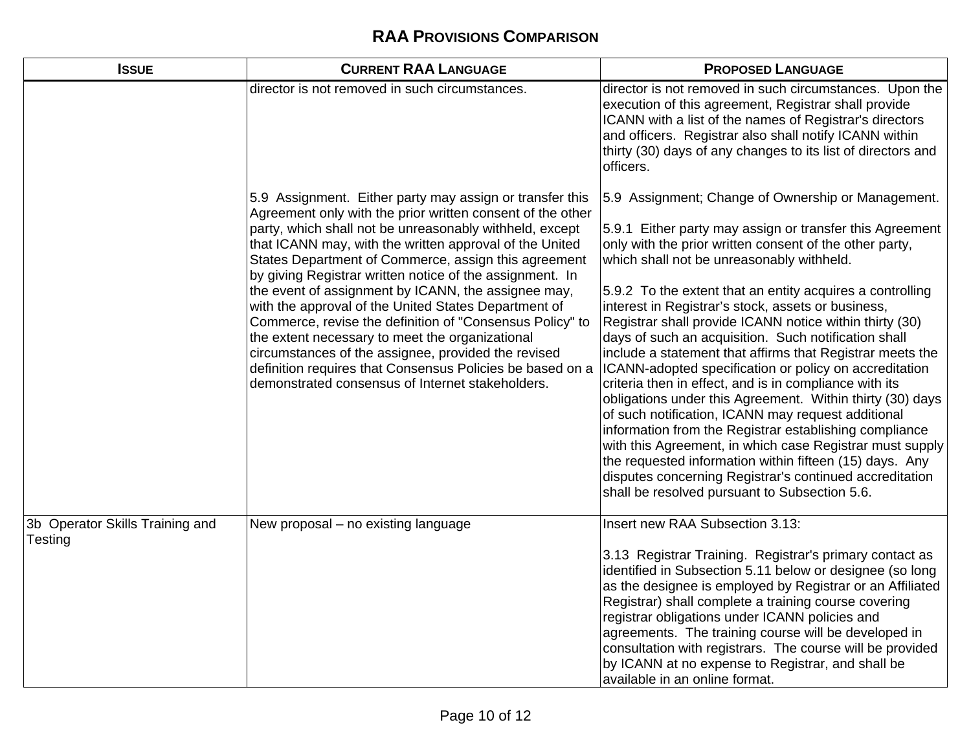| <b>ISSUE</b>                               | <b>CURRENT RAA LANGUAGE</b>                                                                                                                                                                                                                                                                                                                                                                        | <b>PROPOSED LANGUAGE</b>                                                                                                                                                                                                                                                                                                                                                                                                                                                                                                                                                                                                                                                                                                                                                                                                            |
|--------------------------------------------|----------------------------------------------------------------------------------------------------------------------------------------------------------------------------------------------------------------------------------------------------------------------------------------------------------------------------------------------------------------------------------------------------|-------------------------------------------------------------------------------------------------------------------------------------------------------------------------------------------------------------------------------------------------------------------------------------------------------------------------------------------------------------------------------------------------------------------------------------------------------------------------------------------------------------------------------------------------------------------------------------------------------------------------------------------------------------------------------------------------------------------------------------------------------------------------------------------------------------------------------------|
|                                            | director is not removed in such circumstances.                                                                                                                                                                                                                                                                                                                                                     | director is not removed in such circumstances. Upon the<br>execution of this agreement, Registrar shall provide<br>ICANN with a list of the names of Registrar's directors<br>and officers. Registrar also shall notify ICANN within<br>thirty (30) days of any changes to its list of directors and<br>officers.                                                                                                                                                                                                                                                                                                                                                                                                                                                                                                                   |
|                                            | 5.9 Assignment. Either party may assign or transfer this<br>Agreement only with the prior written consent of the other<br>party, which shall not be unreasonably withheld, except<br>that ICANN may, with the written approval of the United<br>States Department of Commerce, assign this agreement<br>by giving Registrar written notice of the assignment. In                                   | 5.9 Assignment; Change of Ownership or Management.<br>5.9.1 Either party may assign or transfer this Agreement<br>only with the prior written consent of the other party,<br>which shall not be unreasonably withheld.                                                                                                                                                                                                                                                                                                                                                                                                                                                                                                                                                                                                              |
|                                            | the event of assignment by ICANN, the assignee may,<br>with the approval of the United States Department of<br>Commerce, revise the definition of "Consensus Policy" to<br>the extent necessary to meet the organizational<br>circumstances of the assignee, provided the revised<br>definition requires that Consensus Policies be based on a<br>demonstrated consensus of Internet stakeholders. | 5.9.2 To the extent that an entity acquires a controlling<br>interest in Registrar's stock, assets or business,<br>Registrar shall provide ICANN notice within thirty (30)<br>days of such an acquisition. Such notification shall<br>include a statement that affirms that Registrar meets the<br>ICANN-adopted specification or policy on accreditation<br>criteria then in effect, and is in compliance with its<br>obligations under this Agreement. Within thirty (30) days<br>of such notification, ICANN may request additional<br>information from the Registrar establishing compliance<br>with this Agreement, in which case Registrar must supply<br>the requested information within fifteen (15) days. Any<br>disputes concerning Registrar's continued accreditation<br>shall be resolved pursuant to Subsection 5.6. |
| 3b Operator Skills Training and<br>Testing | New proposal – no existing language                                                                                                                                                                                                                                                                                                                                                                | Insert new RAA Subsection 3.13:<br>3.13 Registrar Training. Registrar's primary contact as<br>identified in Subsection 5.11 below or designee (so long<br>as the designee is employed by Registrar or an Affiliated<br>Registrar) shall complete a training course covering<br>registrar obligations under ICANN policies and<br>agreements. The training course will be developed in<br>consultation with registrars. The course will be provided<br>by ICANN at no expense to Registrar, and shall be<br>available in an online format.                                                                                                                                                                                                                                                                                           |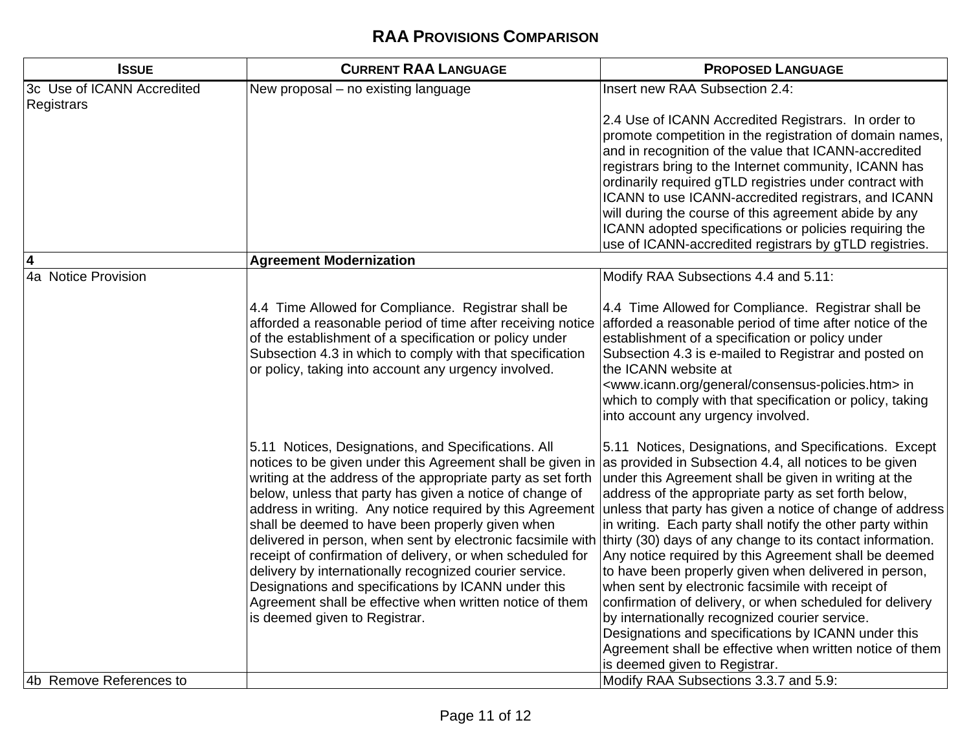| <b>ISSUE</b>                                    | <b>CURRENT RAA LANGUAGE</b>                                                                                                                                                                                                                                                                                                                                                                                                                                                                                                                                                                                                                                                                                | <b>PROPOSED LANGUAGE</b>                                                                                                                                                                                                                                                                                                                                                                                                                                                                                                                                                                                                                                                                                                                                                                                                                                            |
|-------------------------------------------------|------------------------------------------------------------------------------------------------------------------------------------------------------------------------------------------------------------------------------------------------------------------------------------------------------------------------------------------------------------------------------------------------------------------------------------------------------------------------------------------------------------------------------------------------------------------------------------------------------------------------------------------------------------------------------------------------------------|---------------------------------------------------------------------------------------------------------------------------------------------------------------------------------------------------------------------------------------------------------------------------------------------------------------------------------------------------------------------------------------------------------------------------------------------------------------------------------------------------------------------------------------------------------------------------------------------------------------------------------------------------------------------------------------------------------------------------------------------------------------------------------------------------------------------------------------------------------------------|
| 3c Use of ICANN Accredited<br><b>Registrars</b> | New proposal - no existing language                                                                                                                                                                                                                                                                                                                                                                                                                                                                                                                                                                                                                                                                        | Insert new RAA Subsection 2.4:                                                                                                                                                                                                                                                                                                                                                                                                                                                                                                                                                                                                                                                                                                                                                                                                                                      |
|                                                 |                                                                                                                                                                                                                                                                                                                                                                                                                                                                                                                                                                                                                                                                                                            | 2.4 Use of ICANN Accredited Registrars. In order to<br>promote competition in the registration of domain names,<br>and in recognition of the value that ICANN-accredited<br>registrars bring to the Internet community, ICANN has<br>ordinarily required gTLD registries under contract with<br>ICANN to use ICANN-accredited registrars, and ICANN<br>will during the course of this agreement abide by any<br>ICANN adopted specifications or policies requiring the                                                                                                                                                                                                                                                                                                                                                                                              |
|                                                 | <b>Agreement Modernization</b>                                                                                                                                                                                                                                                                                                                                                                                                                                                                                                                                                                                                                                                                             | use of ICANN-accredited registrars by gTLD registries.                                                                                                                                                                                                                                                                                                                                                                                                                                                                                                                                                                                                                                                                                                                                                                                                              |
| 4a Notice Provision                             |                                                                                                                                                                                                                                                                                                                                                                                                                                                                                                                                                                                                                                                                                                            | Modify RAA Subsections 4.4 and 5.11:                                                                                                                                                                                                                                                                                                                                                                                                                                                                                                                                                                                                                                                                                                                                                                                                                                |
|                                                 | 4.4 Time Allowed for Compliance. Registrar shall be<br>afforded a reasonable period of time after receiving notice<br>of the establishment of a specification or policy under<br>Subsection 4.3 in which to comply with that specification<br>or policy, taking into account any urgency involved.                                                                                                                                                                                                                                                                                                                                                                                                         | 4.4 Time Allowed for Compliance. Registrar shall be<br>afforded a reasonable period of time after notice of the<br>establishment of a specification or policy under<br>Subsection 4.3 is e-mailed to Registrar and posted on<br>the ICANN website at<br><www.icann.org consensus-policies.htm="" general=""> in<br/>which to comply with that specification or policy, taking<br/>into account any urgency involved.</www.icann.org>                                                                                                                                                                                                                                                                                                                                                                                                                                |
|                                                 | 5.11 Notices, Designations, and Specifications. All<br>notices to be given under this Agreement shall be given in<br>writing at the address of the appropriate party as set forth<br>below, unless that party has given a notice of change of<br>address in writing. Any notice required by this Agreement<br>shall be deemed to have been properly given when<br>delivered in person, when sent by electronic facsimile with<br>receipt of confirmation of delivery, or when scheduled for<br>delivery by internationally recognized courier service.<br>Designations and specifications by ICANN under this<br>Agreement shall be effective when written notice of them<br>is deemed given to Registrar. | 5.11 Notices, Designations, and Specifications. Except<br>as provided in Subsection 4.4, all notices to be given<br>under this Agreement shall be given in writing at the<br>address of the appropriate party as set forth below,<br>unless that party has given a notice of change of address<br>in writing. Each party shall notify the other party within<br>thirty (30) days of any change to its contact information.<br>Any notice required by this Agreement shall be deemed<br>to have been properly given when delivered in person,<br>when sent by electronic facsimile with receipt of<br>confirmation of delivery, or when scheduled for delivery<br>by internationally recognized courier service.<br>Designations and specifications by ICANN under this<br>Agreement shall be effective when written notice of them<br>is deemed given to Registrar. |
| 4b Remove References to                         |                                                                                                                                                                                                                                                                                                                                                                                                                                                                                                                                                                                                                                                                                                            | Modify RAA Subsections 3.3.7 and 5.9:                                                                                                                                                                                                                                                                                                                                                                                                                                                                                                                                                                                                                                                                                                                                                                                                                               |